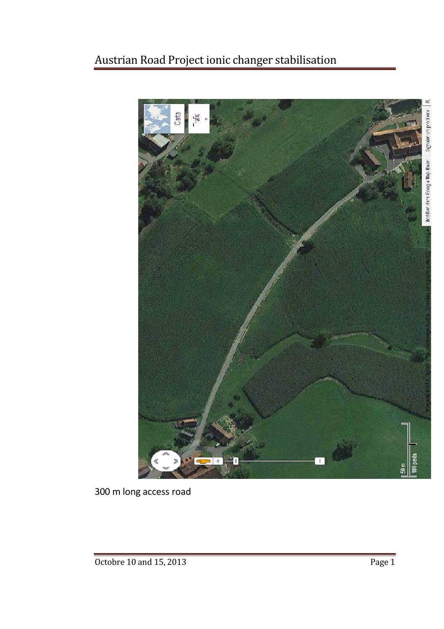

300 m long access road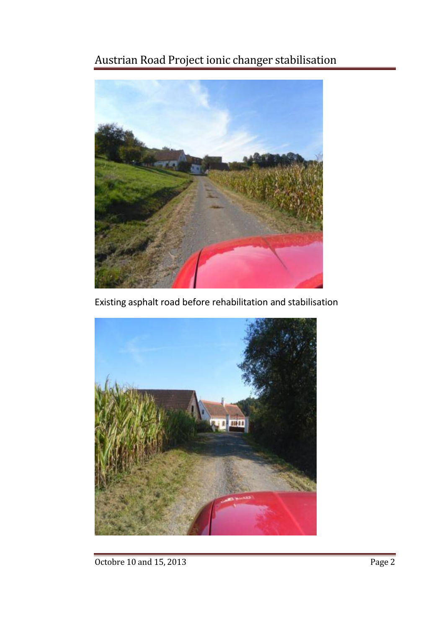

Existing asphalt road before rehabilitation and stabilisation

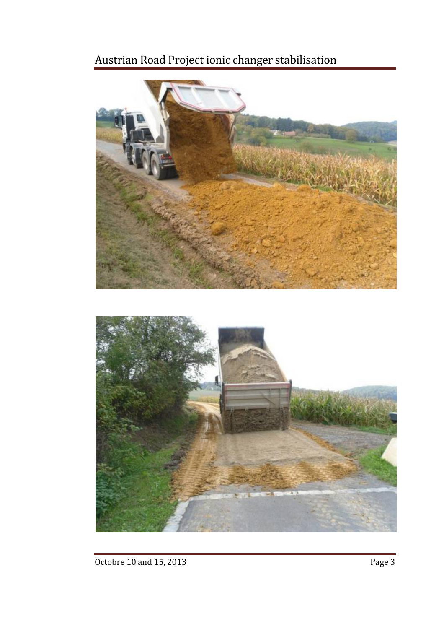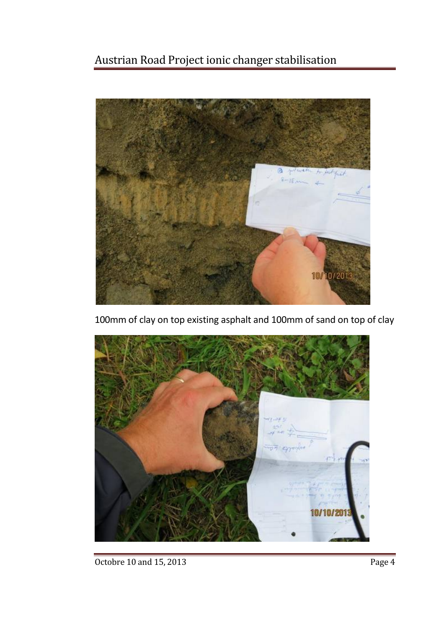

100mm of clay on top existing asphalt and 100mm of sand on top of clay

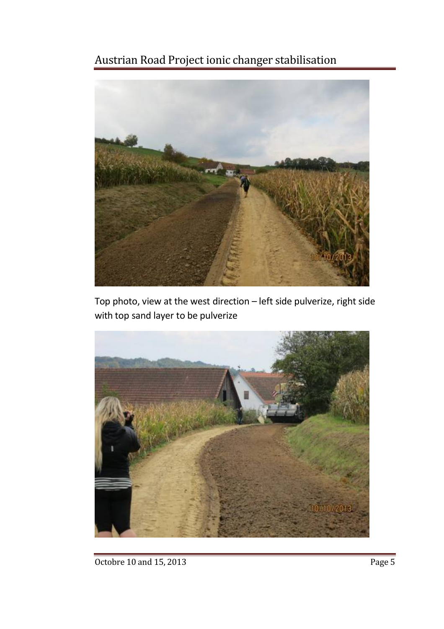

Top photo, view at the west direction – left side pulverize, right side with top sand layer to be pulverize

![](_page_4_Picture_3.jpeg)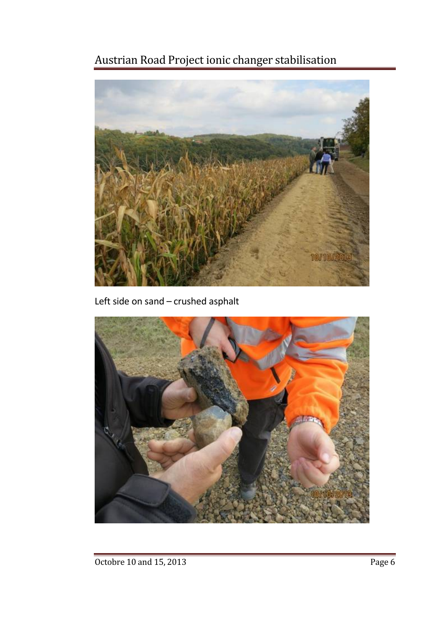![](_page_5_Picture_1.jpeg)

Left side on sand – crushed asphalt

![](_page_5_Picture_3.jpeg)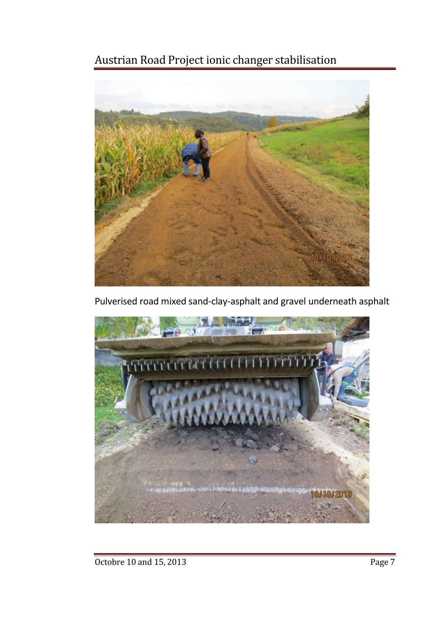![](_page_6_Picture_1.jpeg)

Pulverised road mixed sand-clay-asphalt and gravel underneath asphalt

![](_page_6_Picture_3.jpeg)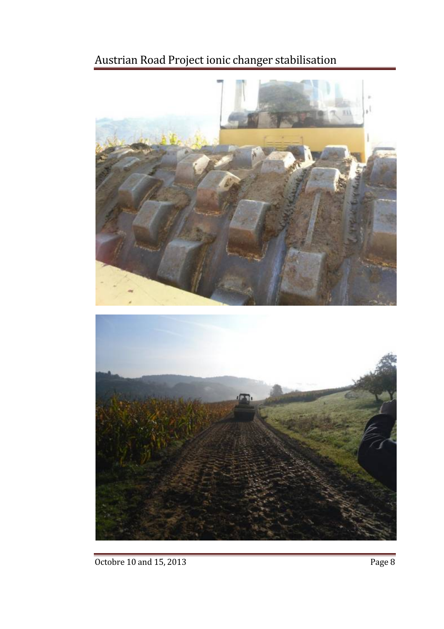![](_page_7_Picture_1.jpeg)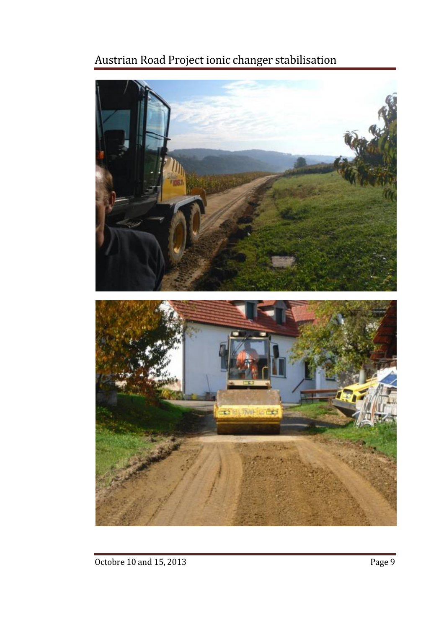![](_page_8_Picture_1.jpeg)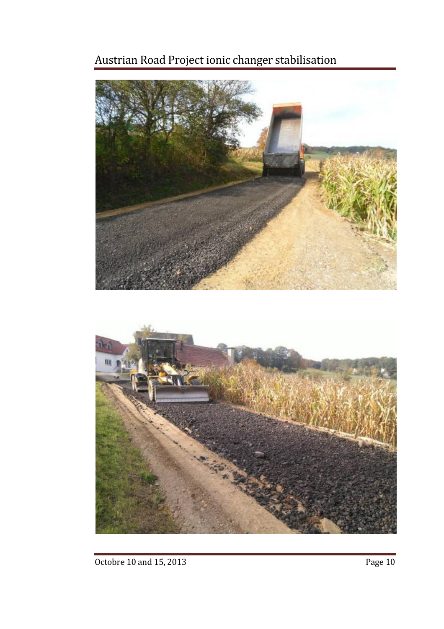![](_page_9_Picture_1.jpeg)

![](_page_9_Picture_2.jpeg)